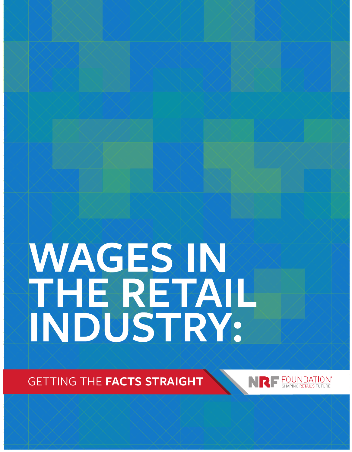# WAGES IN<br>THE RETAIL<br>INDUSTRY:

GETTING THE **FACTS STRAIGHT**

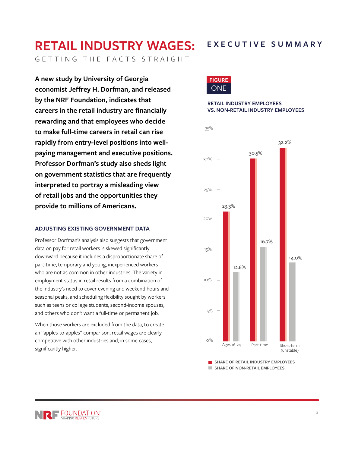# **RETAIL INDUSTRY WAGES:**

**EXECUTIVE SUMMARY**

GETTING THE FACTS STRAIGHT

**A new study by University of Georgia economist Jeffrey H. Dorfman, and released by the NRF Foundation, indicates that careers in the retail industry are financially rewarding and that employees who decide to make full-time careers in retail can rise rapidly from entry-level positions into wellpaying management and executive positions. Professor Dorfman's study also sheds light on government statistics that are frequently interpreted to portray a misleading view of retail jobs and the opportunities they provide to millions of Americans.** 

#### **ADJUSTING EXISTING GOVERNMENT DATA**

Professor Dorfman's analysis also suggests that government data on pay for retail workers is skewed significantly downward because it includes a disproportionate share of part-time, temporary and young, inexperienced workers who are not as common in other industries. The variety in employment status in retail results from a combination of the industry's need to cover evening and weekend hours and seasonal peaks, and scheduling flexibility sought by workers such as teens or college students, second-income spouses, and others who don't want a full-time or permanent job.

When those workers are excluded from the data, to create an "apples-to-apples" comparison, retail wages are clearly competitive with other industries and, in some cases, significantly higher.



#### **RETAIL INDUSTRY EMPLOYEES VS. NON-RETAIL INDUSTRY EMPLOYEES**



**SHARE OF RETAIL INDUSTRY EMPLOYEES SHARE OF NON-RETAIL EMPLOYEES**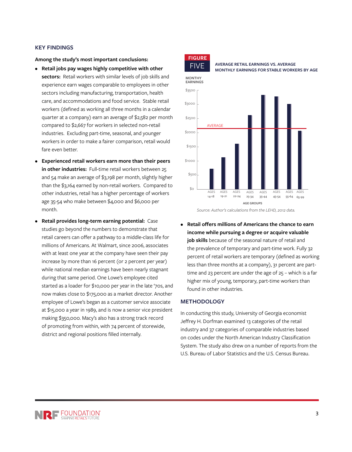#### **KEY FINDINGS**

**Among the study's most important conclusions:**

- **• Retail jobs pay wages highly competitive with other sectors:** Retail workers with similar levels of job skills and experience earn wages comparable to employees in other sectors including manufacturing, transportation, health care, and accommodations and food service. Stable retail workers (defined as working all three months in a calendar quarter at a company) earn an average of \$2,582 per month compared to \$2,667 for workers in selected non-retail industries. Excluding part-time, seasonal, and younger workers in order to make a fairer comparison, retail would fare even better.
- **• Experienced retail workers earn more than their peers in other industries:** Full-time retail workers between 25 and 54 make an average of \$3,198 per month, slightly higher than the \$3,164 earned by non-retail workers. Compared to other industries, retail has a higher percentage of workers age 35-54 who make between \$4,000 and \$6,000 per month.
- **• Retail provides long-term earning potential:** Case studies go beyond the numbers to demonstrate that retail careers can offer a pathway to a middle-class life for millions of Americans. At Walmart, since 2006, associates with at least one year at the company have seen their pay increase by more than 16 percent (or 2 percent per year) while national median earnings have been nearly stagnant during that same period. One Lowe's employee cited started as a loader for \$10,000 per year in the late '70s, and now makes close to \$175,000 as a market director. Another employee of Lowe's began as a customer service associate at \$15,000 a year in 1989, and is now a senior vice president making \$350,000. Macy's also has a strong track record of promoting from within, with 74 percent of storewide, district and regional positions filled internally.



FIVE **AVERAGE RETAIL EARNINGS VS. AVERAGE MONTHLY EARNINGS FOR STABLE WORKERS BY AGE**



*Source: Author's calculations from the LEHD, 2012 data.*

**• Retail offers millions of Americans the chance to earn income while pursuing a degree or acquire valuable job skills** because of the seasonal nature of retail and the prevalence of temporary and part-time work. Fully 32 percent of retail workers are temporary (defined as working less than three months at a company), 31 percent are parttime and 23 percent are under the age of 25 – which is a far higher mix of young, temporary, part-time workers than found in other industries.

#### **METHODOLOGY**

In conducting this study, University of Georgia economist Jeffrey H. Dorfman examined 13 categories of the retail industry and 37 categories of comparable industries based on codes under the North American Industry Classification System. The study also drew on a number of reports from the U.S. Bureau of Labor Statistics and the U.S. Census Bureau.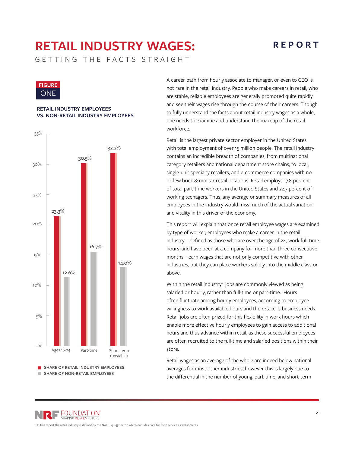# **RETAIL INDUSTRY WAGES:**

## **REPORT**

GETTING THE FACTS STRAIGHT



#### **RETAIL INDUSTRY EMPLOYEES VS. NON-RETAIL INDUSTRY EMPLOYEES**



A career path from hourly associate to manager, or even to CEO is not rare in the retail industry. People who make careers in retail, who are stable, reliable employees are generally promoted quite rapidly and see their wages rise through the course of their careers. Though to fully understand the facts about retail industry wages as a whole, one needs to examine and understand the makeup of the retail workforce.

Retail is the largest private sector employer in the United States with total employment of over 15 million people. The retail industry contains an incredible breadth of companies, from multinational category retailers and national department store chains, to local, single-unit specialty retailers, and e-commerce companies with no or few brick & mortar retail locations. Retail employs 17.8 percent of total part-time workers in the United States and 22.7 percent of working teenagers. Thus, any average or summary measures of all employees in the industry would miss much of the actual variation and vitality in this driver of the economy.

This report will explain that once retail employee wages are examined by type of worker, employees who make a career in the retail industry – defined as those who are over the age of 24, work full-time hours, and have been at a company for more than three consecutive months – earn wages that are not only competitive with other industries, but they can place workers solidly into the middle class or above.

Within the retail industry<sup>1</sup> jobs are commonly viewed as being salaried or hourly, rather than full-time or part-time. Hours often fluctuate among hourly employees, according to employee willingness to work available hours and the retailer's business needs. Retail jobs are often prized for this flexibility in work hours which enable more effective hourly employees to gain access to additional hours and thus advance within retail, as these successful employees are often recruited to the full-time and salaried positions within their store.

Retail wages as an average of the whole are indeed below national averages for most other industries, however this is largely due to the differential in the number of young, part-time, and short-term

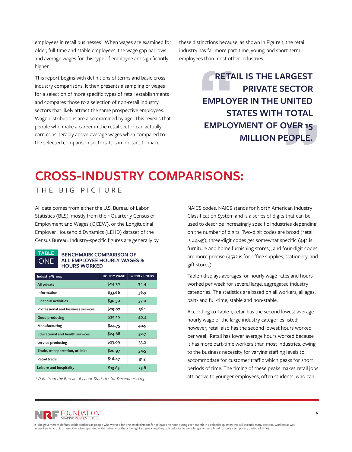employees in retail businesses<sup>2</sup>. When wages are examined for older, full-time and stable employees, the wage gap narrows and average wages for this type of employee are significantly higher.

This report begins with definitions of terms and basic crossindustry comparisons. It then presents a sampling of wages for a selection of more specific types of retail establishments and compares those to a selection of non-retail industry sectors that likely attract the same prospective employees. Wage distributions are also examined by age. This reveals that people who make a career in the retail sector can actually earn considerably above-average wages when compared to the selected comparison sectors. It is important to make

these distinctions because, as shown in Figure 1, the retail industry has far more part-time, young, and short-term employees than most other industries.

> **RETAIL IS THE LARGEST PRIVATE SECTOR EMPLOYER IN THE UNITED STATES WITH TOTAL EMPLOYMENT OF OVER 15 MILLION PEOPLE.**

# **CROSS-INDUSTRY COMPARISONS:**

THE BIG PICTURE

All data comes from either the U.S. Bureau of Labor Statistics (BLS), mostly from their Quarterly Census of Employment and Wages (QCEW), or the Longitudinal Employer Household Dynamics (LEHD) dataset of the Census Bureau. Industry-specific figures are generally by



#### **BENCHMARK COMPARISON OF ALL EMPLOYEE HOURLY WAGES & HOURS WORKED**

| Industry/Group                            | <b>HOURLY WAGE</b> | <b>WEEKLY HOURS</b> |
|-------------------------------------------|--------------------|---------------------|
| All private                               | \$24.30            | 34.4                |
| Information                               | \$33.66            | 36.9                |
| <b>Financial activities</b>               | \$30.50            | 37.0                |
| <b>Professional and business services</b> | \$29.07            | 36.1                |
| <b>Good producing</b>                     | \$25.59            | 40.4                |
| Manufacturing                             | \$24.75            | 40.9                |
| <b>Educational and health services</b>    | \$24.68            | 32.7                |
| service producing                         | \$23.99            | 33.2                |
| <b>Trade, transportation, utilities</b>   | \$20.97            | 34.5                |
| <b>Retail trade</b>                       | \$16.47            | 31.3                |
| Leisure and hospitality                   | \$13.85            | 25.8                |

*\* Data from the Bureau of Labor Statistics for December 2013.*

NAICS codes. NAICS stands for North American Industry Classification System and is a series of digits that can be used to describe increasingly specific industries depending on the number of digits. Two-digit codes are broad (retail is 44-45), three-digit codes get somewhat specific (442 is furniture and home furnishing stores), and four-digit codes are more precise (4532 is for office supplies, stationery, and gift stores).

Table 1 displays averages for hourly wage rates and hours worked per week for several large, aggregated industry categories. The statistics are based on all workers, all ages, part- and full-time, stable and non-stable.

According to Table 1, retail has the second lowest average hourly wage of the large industry categories listed; however, retail also has the second lowest hours worked per week. Retail has lower average hours worked because it has more part-time workers than most industries, owing to the business necessity for varying staffing levels to accommodate for customer traffic which peaks for short periods of time. The timing of these peaks makes retail jobs attractive to younger employees, often students, who can

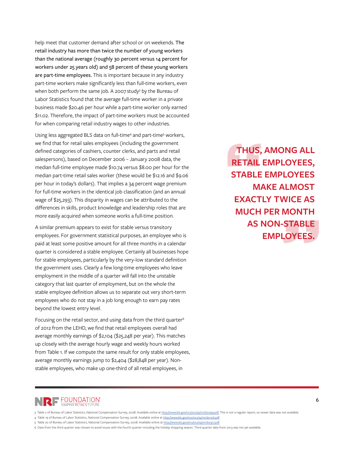help meet that customer demand after school or on weekends. The retail industry has more than twice the number of young workers than the national average (roughly 30 percent versus 14 percent for workers under 25 years old) and 58 percent of these young workers are part-time employees. This is important because in any industry part-time workers make significantly less than full-time workers, even when both perform the same job. A 2007 study<sup>3</sup> by the Bureau of Labor Statistics found that the average full-time worker in a private business made \$20.46 per hour while a part-time worker only earned \$11.02. Therefore, the impact of part-time workers must be accounted for when comparing retail industry wages to other industries.

Using less aggregated BLS data on full-time<sup>4</sup> and part-time<sup>5</sup> workers, we find that for retail sales employees (including the government defined categories of cashiers, counter clerks, and parts and retail salespersons), based on December 2006 – January 2008 data, the median full-time employee made \$10.74 versus \$8.00 per hour for the median part-time retail sales worker (these would be \$12.16 and \$9.06 per hour in today's dollars). That implies a 34 percent wage premium for full-time workers in the identical job classification (and an annual wage of \$25,293). This disparity in wages can be attributed to the differences in skills, product knowledge and leadership roles that are more easily acquired when someone works a full-time position.

A similar premium appears to exist for stable versus transitory employees. For government statistical purposes, an employee who is paid at least some positive amount for all three months in a calendar quarter is considered a stable employee. Certainly all businesses hope for stable employees, particularly by the very-low standard definition the government uses. Clearly a few long-time employees who leave employment in the middle of a quarter will fall into the unstable category that last quarter of employment, but on the whole the stable employee definition allows us to separate out very short-term employees who do not stay in a job long enough to earn pay rates beyond the lowest entry level.

Focusing on the retail sector, and using data from the third quarter<sup>6</sup> of 2012 from the LEHD, we find that retail employees overall had average monthly earnings of \$2,104 (\$25,248 per year). This matches up closely with the average hourly wage and weekly hours worked from Table 1. If we compute the same result for only stable employees, average monthly earnings jump to \$2,404 (\$28,848 per year). Nonstable employees, who make up one-third of all retail employees, in

**THUS, AMONG ALL RETAIL EMPLOYEES, STABLE EMPLOYEES MAKE ALMOST EXACTLY TWICE AS MUCH PER MONTH AS NON-STABLE EMPLOYEES.**



<sup>3</sup> Table 2 of Bureau of Labor Statistics, National Compensation Survey, 2008. Available online at http://www.bls.gov/ncs/ocs/sp/nctb0299.pdf. This is not a regular report, so newer data was not available.

<sup>4</sup> Table 19 of Bureau of Labor Statistics, National Compensation Survey, 2008. Available online at http://www.bls.gov/ncs/ocs/sp/nctb0316.pdf

<sup>5</sup> Table 20 of Bureau of Labor Statistics, National Compensation Survey, 2008. Available online at http://www.bls.gov/ncs/ocs/sp/nctb0317.pdf

<sup>6</sup> Data from the third quarter was chosen to avoid issues with the fourth quarter including the holiday shopping season. Third quarter data from 2013 was not yet available.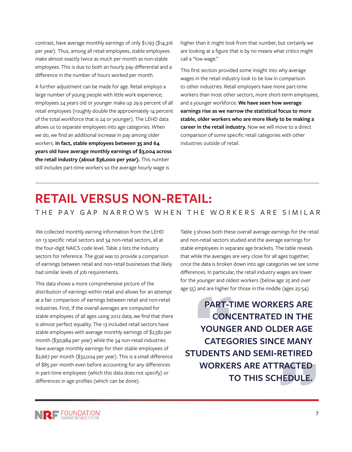contrast, have average monthly earnings of only \$1,193 (\$14,316 per year). Thus, among all retail employees, stable employees make almost exactly twice as much per month as non-stable employees. This is due to both an hourly pay differential and a difference in the number of hours worked per month.

A further adjustment can be made for age. Retail employs a large number of young people with little work experience; employees 24 years old or younger make up 29.9 percent of all retail employees (roughly double the approximately 14 percent of the total workforce that is 24 or younger). The LEHD data allows us to separate employees into age categories. When we do, we find an additional increase in pay among older workers. **In fact, stable employees between 35 and 64 years old have average monthly earnings of \$3,004 across the retail industry (about \$36,000 per year).** This number still includes part-time workers so the average hourly wage is

higher than it might look from that number, but certainly we are looking at a figure that is by no means what critics might call a "low wage."

This first section provided some insight into why average wages in the retail industry look to be low in comparison to other industries. Retail employers have more part-time workers than most other sectors, more short-term employees, and a younger workforce. **We have seen how average earnings rise as we narrow the statistical focus to more stable, older workers who are more likely to be making a career in the retail industry.** Now we will move to a direct comparison of some specific retail categories with other industries outside of retail.

# **RETAIL VERSUS NON-RETAIL:**

### THE PAY GAP NARROWS WHEN THE WORKERS ARE SIMILAR

We collected monthly earning information from the LEHD on 13 specific retail sectors and 34 non-retail sectors, all at the four-digit NAICS code level. Table 2 lists the industry sectors for reference. The goal was to provide a comparison of earnings between retail and non-retail businesses that likely had similar levels of job requirements.

This data shows a more comprehensive picture of the distribution of earnings within retail and allows for an attempt at a fair comparison of earnings between retail and non-retail industries. First, if the overall averages are computed for stable employees of all ages using 2012 data, we find that there is almost perfect equality. The 13 included retail sectors have stable employees with average monthly earnings of \$2,582 per month (\$30,984 per year) while the 34 non-retail industries have average monthly earnings for their stable employees of \$2,667 per month (\$32,004 per year). This is a small difference of \$85 per month even before accounting for any differences in part-time employees (which this data does not specify) or differences in age profiles (which can be done).

Table 3 shows both these overall average earnings for the retail and non-retail sectors studied and the average earnings for stable employees in separate age brackets. The table reveals that while the averages are very close for all ages together, once the data is broken down into age categories we see some differences. In particular, the retail industry wages are lower for the younger and oldest workers (below age 25 and over age 55) and are higher for those in the middle (ages 25-54).

**PART-TIME WORKERS ARE CONCENTRATED IN THE YOUNGER AND OLDER AGE CATEGORIES SINCE MANY STUDENTS AND SEMI-RETIRED WORKERS ARE ATTRACTED TO THIS SCHEDULE.**

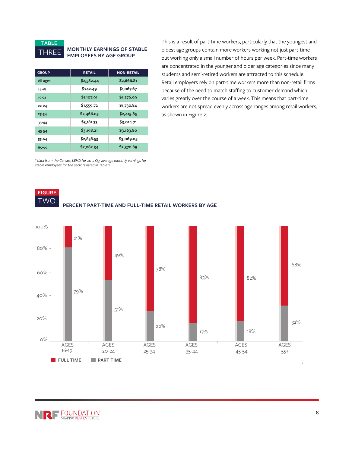

#### THREE **MONTHLY EARNINGS OF STABLE EMPLOYEES BY AGE GROUP**

| <b>GROUP</b> | <b>RETAIL</b> | <b>NON-RETAIL</b> |
|--------------|---------------|-------------------|
| All ages     | \$2,582.44    | \$2,666.81        |
| 14-18        | \$742.49      | \$1,067.67        |
| 19-21        | \$1,107.91    | \$1,276.99        |
| 22-24        | \$1,559.72    | \$1,730.84        |
| 25-34        | \$2,466.05    | \$2,415.85        |
| $35 - 44$    | \$3,181.33    | \$3,014.71        |
| 45-54        | \$3,198.21    | \$3,163.80        |
| 55-64        | \$2,858.53    | \$3,069.05        |
| 65-99        | \$2,082.34    | \$2,370.89        |

This is a result of part-time workers, particularly that the youngest and oldest age groups contain more workers working not just part-time but working only a small number of hours per week. Part-time workers are concentrated in the younger and older age categories since many students and semi-retired workers are attracted to this schedule. Retail employers rely on part-time workers more than non-retail firms because of the need to match staffing to customer demand which varies greatly over the course of a week. This means that part-time workers are not spread evenly across age ranges among retail workers, as shown in Figure 2.

*\* data from the Census, LEHD for 2012 Q3, average monthly earnings for stable employees for the sectors listed in Table 2.*





NRF FOUNDATION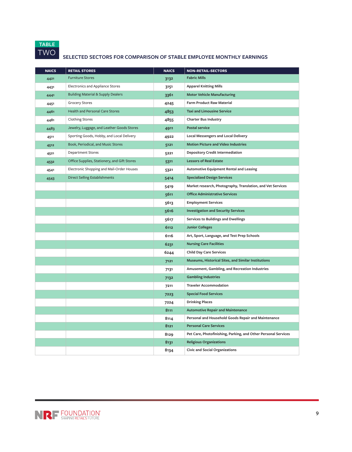

## TWO **SELECTED SECTORS FOR COMPARISON OF STABLE EMPLOYEE MONTHLY EARNINGS**

| <b>NAICS</b> | <b>RETAIL STORES</b>                          | <b>NAICS</b> | <b>NON-RETAIL-SECTORS</b>                                      |
|--------------|-----------------------------------------------|--------------|----------------------------------------------------------------|
| 4421         | <b>Furniture Stores</b>                       | 3132         | <b>Fabric Mills</b>                                            |
| 4431         | Electronics and Appliance Stores              | 3151         | <b>Apparel Knitting Mills</b>                                  |
| 4441         | <b>Building Material &amp; Supply Dealers</b> | 3361         | <b>Motor Vehicle Manufacturing</b>                             |
| 4451         | <b>Grocery Stores</b>                         | 4245         | <b>Farm Product Raw Material</b>                               |
| 4461         | <b>Health and Personal Care Stores</b>        | 4853         | <b>Taxi and Limousine Service</b>                              |
| 4481         | <b>Clothing Stores</b>                        | 4855         | <b>Charter Bus Industry</b>                                    |
| 4483         | Jewelry, Luggage, and Leather Goods Stores    | 4911         | <b>Postal service</b>                                          |
| 4511         | Sporting Goods, Hobby, and Local Delivery     | 4922         | <b>Local Messengers and Local Delivery</b>                     |
| 4512         | Book, Periodical, and Music Stores            | 5121         | <b>Motion Picture and Video Industries</b>                     |
| 4521         | <b>Department Stores</b>                      | 5221         | <b>Depository Credit Intermediation</b>                        |
| 4532         | Office Supplies, Stationery, and Gift Stores  | 5311         | <b>Lessors of Real Estate</b>                                  |
| 4541         | Electronic Shopping and Mail-Order Houses     | 5321         | <b>Automotive Equipment Rental and Leasing</b>                 |
| 4543         | <b>Direct Selling Establishments</b>          | 5414         | <b>Specialized Design Services</b>                             |
|              |                                               | 5419         | Market research, Photography, Translation, and Vet Services    |
|              |                                               | 5611         | <b>Office Administrative Services</b>                          |
|              |                                               | 5613         | <b>Employment Services</b>                                     |
|              |                                               | 5616         | <b>Investigation and Security Services</b>                     |
|              |                                               | 5617         | <b>Services to Buildings and Dwellings</b>                     |
|              |                                               | 6112         | <b>Junior Colleges</b>                                         |
|              |                                               | 6116         | Art, Sport, Language, and Test Prep Schools                    |
|              |                                               | 6231         | <b>Nursing Care Facilities</b>                                 |
|              |                                               | 6244         | <b>Child Day Care Services</b>                                 |
|              |                                               | 7121         | Museums, Historical Sites, and Similar Institutions            |
|              |                                               | 7131         | Amusement, Gambling, and Recreation Industries                 |
|              |                                               | 7132         | <b>Gambling Industries</b>                                     |
|              |                                               | 7211         | <b>Traveler Accommodation</b>                                  |
|              |                                               | 7223         | <b>Special Food Services</b>                                   |
|              |                                               | 7224         | <b>Drinking Places</b>                                         |
|              |                                               | 8111         | <b>Automotive Repair and Maintenance</b>                       |
|              |                                               | 8114         | Personal and Household Goods Repair and Maintenance            |
|              |                                               | 8121         | <b>Personal Care Services</b>                                  |
|              |                                               | 8129         | Pet Care, Photofinishing, Parking, and Other Personal Services |
|              |                                               | 8131         | <b>Religious Organizations</b>                                 |
|              |                                               | 8134         | <b>Civic and Social Organizations</b>                          |

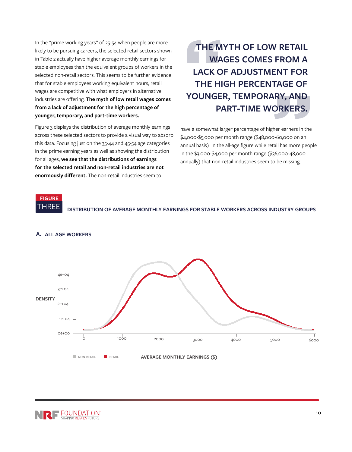In the "prime working years" of 25-54 when people are more likely to be pursuing careers, the selected retail sectors shown in Table 2 actually have higher average monthly earnings for stable employees than the equivalent groups of workers in the selected non-retail sectors. This seems to be further evidence that for stable employees working equivalent hours, retail wages are competitive with what employers in alternative industries are offering. **The myth of low retail wages comes from a lack of adjustment for the high percentage of younger, temporary, and part-time workers.**

Figure 3 displays the distribution of average monthly earnings across these selected sectors to provide a visual way to absorb this data. Focusing just on the 35-44 and 45-54 age categories in the prime earning years as well as showing the distribution for all ages, **we see that the distributions of earnings for the selected retail and non-retail industries are not enormously different.** The non-retail industries seem to

**THE MYTH OF LOW RETAIL WAGES COMES FROM A LACK OF ADJUSTMENT FOR THE HIGH PERCENTAGE OF YOUNGER, TEMPORARY, AND PART-TIME WORKERS.**

have a somewhat larger percentage of higher earners in the \$4,000-\$5,000 per month range (\$48,000-60,000 on an annual basis) in the all-age figure while retail has more people in the \$3,000-\$4,000 per month range (\$36,000-48,000 annually) that non-retail industries seem to be missing.

**FIGURE**

THREE **DISTRIBUTION OF AVERAGE MONTHLY EARNINGS FOR STABLE WORKERS ACROSS INDUSTRY GROUPS**



#### **A. ALL AGE WORKERS**

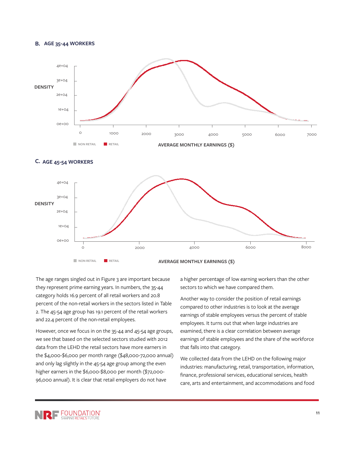#### **B. AGE 35-44 WORKERS**







The age ranges singled out in Figure 3 are important because they represent prime earning years. In numbers, the 35-44 category holds 16.9 percent of all retail workers and 20.8 percent of the non-retail workers in the sectors listed in Table 2. The 45-54 age group has 19.1 percent of the retail workers and 22.4 percent of the non-retail employees.

However, once we focus in on the 35-44 and 45-54 age groups, we see that based on the selected sectors studied with 2012 data from the LEHD the retail sectors have more earners in the \$4,000-\$6,000 per month range (\$48,000-72,000 annual) and only lag slightly in the 45-54 age group among the even higher earners in the \$6,000-\$8,000 per month (\$72,000- 96,000 annual). It is clear that retail employers do not have

a higher percentage of low earning workers than the other sectors to which we have compared them.

Another way to consider the position of retail earnings compared to other industries is to look at the average earnings of stable employees versus the percent of stable employees. It turns out that when large industries are examined, there is a clear correlation between average earnings of stable employees and the share of the workforce that falls into that category.

We collected data from the LEHD on the following major industries: manufacturing, retail, transportation, information, finance, professional services, educational services, health care, arts and entertainment, and accommodations and food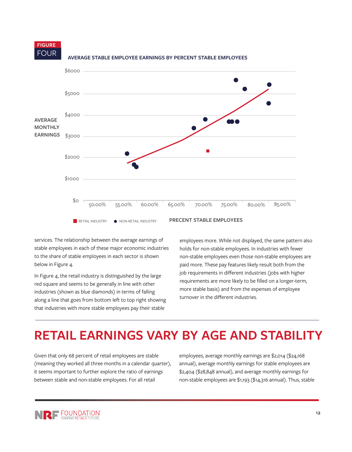

FOUR **AVERAGE STABLE EMPLOYEE EARNINGS BY PERCENT STABLE EMPLOYEES**

services. The relationship between the average earnings of stable employees in each of these major economic industries to the share of stable employees in each sector is shown below in Figure 4.

In Figure 4, the retail industry is distinguished by the large red square and seems to be generally in line with other industries (shown as blue diamonds) in terms of falling along a line that goes from bottom left to top right showing that industries with more stable employees pay their stable

employees more. While not displayed, the same pattern also holds for non-stable employees. In industries with fewer non-stable employees even those non-stable employees are paid more. These pay features likely result both from the job requirements in different industries (jobs with higher requirements are more likely to be filled on a longer-term, more stable basis) and from the expenses of employee turnover in the different industries.

## **RETAIL EARNINGS VARY BY AGE AND STABILITY**

Given that only 68 percent of retail employees are stable (meaning they worked all three months in a calendar quarter), it seems important to further explore the ratio of earnings between stable and non-stable employees. For all retail

employees, average monthly earnings are \$2,014 (\$24,168 annual), average monthly earnings for stable employees are \$2,404 (\$28,848 annual), and average monthly earnings for non-stable employees are \$1,193 (\$14,316 annual). Thus, stable

**FIGURE**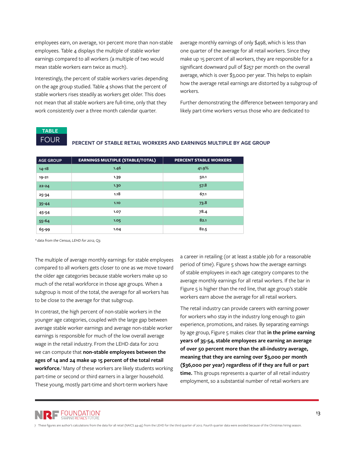employees earn, on average, 101 percent more than non-stable employees. Table 4 displays the multiple of stable worker earnings compared to all workers (a multiple of two would mean stable workers earn twice as much).

Interestingly, the percent of stable workers varies depending on the age group studied. Table 4 shows that the percent of stable workers rises steadily as workers get older. This does not mean that all stable workers are full-time, only that they work consistently over a three month calendar quarter.

average monthly earnings of only \$498, which is less than one quarter of the average for all retail workers. Since they make up 15 percent of all workers, they are responsible for a significant downward pull of \$257 per month on the overall average, which is over \$3,000 per year. This helps to explain how the average retail earnings are distorted by a subgroup of workers.

Further demonstrating the difference between temporary and likely part-time workers versus those who are dedicated to

**TABLE**

FOUR **PERCENT OF STABLE RETAIL WORKERS AND EARNINGS MULTIPLE BY AGE GROUP**

| <b>AGE GROUP</b> | <b>EARNINGS MULTIPLE (STABLE/TOTAL)</b> | <b>PERCENT STABLE WORKERS</b> |
|------------------|-----------------------------------------|-------------------------------|
| $14 - 18$        | 1.46                                    | 41.9%                         |
| $19 - 21$        | 1.39                                    | 50.1                          |
| $22 - 24$        | 1.30                                    | 57.8                          |
| $25 - 34$        | 1.18                                    | 67.1                          |
| $35 - 44$        | 1.10                                    | 73.8                          |
| 45-54            | 1.07                                    | 78.4                          |
| 55-64            | 1.05                                    | 82.1                          |
| 65-99            | 1.04                                    | 82.5                          |

*\* data from the Census, LEHD for 2012, Q3.*

The multiple of average monthly earnings for stable employees compared to all workers gets closer to one as we move toward the older age categories because stable workers make up so much of the retail workforce in those age groups. When a subgroup is most of the total, the average for all workers has to be close to the average for that subgroup.

In contrast, the high percent of non-stable workers in the younger age categories, coupled with the large gap between average stable worker earnings and average non-stable worker earnings is responsible for much of the low overall average wage in the retail industry. From the LEHD data for 2012 we can compute that **non-stable employees between the ages of 14 and 24 make up 15 percent of the total retail workforce.**7 Many of these workers are likely students working part-time or second or third earners in a larger household. These young, mostly part-time and short-term workers have

a career in retailing (or at least a stable job for a reasonable period of time). Figure 5 shows how the average earnings of stable employees in each age category compares to the average monthly earnings for all retail workers. If the bar in Figure 5 is higher than the red line, that age group's stable workers earn above the average for all retail workers.

The retail industry can provide careers with earning power for workers who stay in the industry long enough to gain experience, promotions, and raises. By separating earnings by age group, Figure 5 makes clear that **in the prime earning years of 35-54, stable employees are earning an average of over 50 percent more than the all-industry average, meaning that they are earning over \$3,000 per month (\$36,000 per year) regardless of if they are full or part time.** This groups represents a quarter of all retail industry employment, so a substantial number of retail workers are

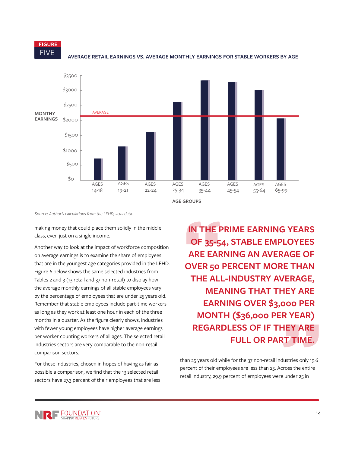**FIGURE**



FIVE **AVERAGE RETAIL EARNINGS VS. AVERAGE MONTHLY EARNINGS FOR STABLE WORKERS BY AGE**

**AGE GROUPS**

*Source: Author's calculations from the LEHD, 2012 data.*

making money that could place them solidly in the middle class, even just on a single income.

Another way to look at the impact of workforce composition on average earnings is to examine the share of employees that are in the youngest age categories provided in the LEHD. Figure 6 below shows the same selected industries from Tables 2 and 3 (13 retail and 37 non-retail) to display how the average monthly earnings of all stable employees vary by the percentage of employees that are under 25 years old. Remember that stable employees include part-time workers as long as they work at least one hour in each of the three months in a quarter. As the figure clearly shows, industries with fewer young employees have higher average earnings per worker counting workers of all ages. The selected retail industries sectors are very comparable to the non-retail comparison sectors.

For these industries, chosen in hopes of having as fair as possible a comparison, we find that the 13 selected retail sectors have 27.3 percent of their employees that are less

**IN THE PRIME EARNING YEARS OF 35-54, STABLE EMPLOYEES ARE EARNING AN AVERAGE OF OVER 50 PERCENT MORE THAN THE ALL-INDUSTRY AVERAGE, MEANING THAT THEY ARE EARNING OVER \$3,000 PER MONTH (\$36,000 PER YEAR) REGARDLESS OF IF THEY ARE FULL OR PART TIME.** 

than 25 years old while for the 37 non-retail industries only 19.6 percent of their employees are less than 25. Across the entire retail industry, 29.9 percent of employees were under 25 in

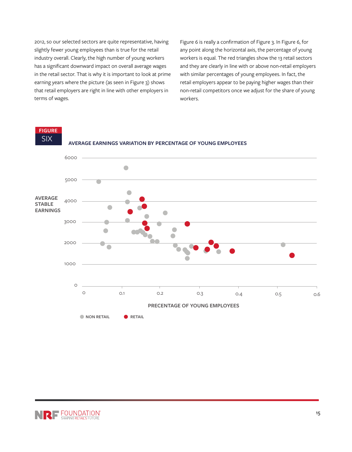2012, so our selected sectors are quite representative, having slightly fewer young employees than is true for the retail industry overall. Clearly, the high number of young workers has a significant downward impact on overall average wages in the retail sector. That is why it is important to look at prime earning years where the picture (as seen in Figure 3) shows that retail employers are right in line with other employers in terms of wages.

Figure 6 is really a confirmation of Figure 3. In Figure 6, for any point along the horizontal axis, the percentage of young workers is equal. The red triangles show the 13 retail sectors and they are clearly in line with or above non-retail employers with similar percentages of young employees. In fact, the retail employers appear to be paying higher wages than their non-retail competitors once we adjust for the share of young workers.

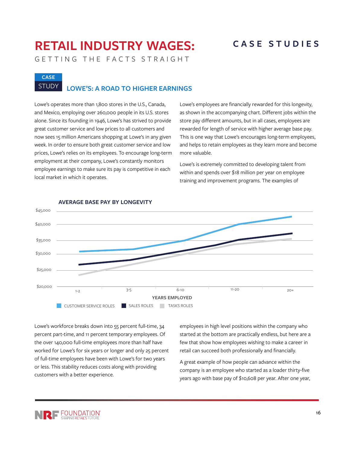# **RETAIL INDUSTRY WAGES: CASE STUDIES**

GETTING THE FACTS STRAIGHT

# **CASE**

## STUDY **LOWE'S: A ROAD TO HIGHER EARNINGS**

Lowe's operates more than 1,800 stores in the U.S., Canada, and Mexico, employing over 260,000 people in its U.S. stores alone. Since its founding in 1946, Lowe's has strived to provide great customer service and low prices to all customers and now sees 15 million Americans shopping at Lowe's in any given week. In order to ensure both great customer service and low prices, Lowe's relies on its employees. To encourage long-term employment at their company, Lowe's constantly monitors employee earnings to make sure its pay is competitive in each local market in which it operates.

Lowe's employees are financially rewarded for this longevity, as shown in the accompanying chart. Different jobs within the store pay different amounts, but in all cases, employees are rewarded for length of service with higher average base pay. This is one way that Lowe's encourages long-term employees, and helps to retain employees as they learn more and become more valuable.

Lowe's is extremely committed to developing talent from within and spends over \$18 million per year on employee training and improvement programs. The examples of



#### **AVERAGE BASE PAY BY LONGEVITY**

Lowe's workforce breaks down into 55 percent full-time, 34 percent part-time, and 11 percent temporary employees. Of the over 140,000 full-time employees more than half have worked for Lowe's for six years or longer and only 25 percent of full-time employees have been with Lowe's for two years or less. This stability reduces costs along with providing customers with a better experience.

employees in high level positions within the company who started at the bottom are practically endless, but here are a few that show how employees wishing to make a career in retail can succeed both professionally and financially.

A great example of how people can advance within the company is an employee who started as a loader thirty-five years ago with base pay of \$10,608 per year. After one year,

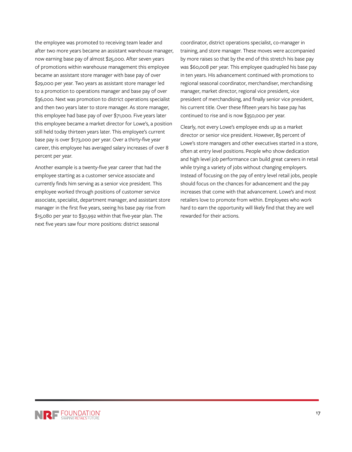the employee was promoted to receiving team leader and after two more years became an assistant warehouse manager, now earning base pay of almost \$25,000. After seven years of promotions within warehouse management this employee became an assistant store manager with base pay of over \$29,000 per year. Two years as assistant store manager led to a promotion to operations manager and base pay of over \$36,000. Next was promotion to district operations specialist and then two years later to store manager. As store manager, this employee had base pay of over \$71,000. Five years later this employee became a market director for Lowe's, a position still held today thirteen years later. This employee's current base pay is over \$173,000 per year. Over a thirty-five year career, this employee has averaged salary increases of over 8 percent per year.

Another example is a twenty-five year career that had the employee starting as a customer service associate and currently finds him serving as a senior vice president. This employee worked through positions of customer service associate, specialist, department manager, and assistant store manager in the first five years, seeing his base pay rise from \$15,080 per year to \$30,992 within that five-year plan. The next five years saw four more positions: district seasonal

coordinator, district operations specialist, co-manager in training, and store manager. These moves were accompanied by more raises so that by the end of this stretch his base pay was \$60,008 per year. This employee quadrupled his base pay in ten years. His advancement continued with promotions to regional seasonal coordinator, merchandiser, merchandising manager, market director, regional vice president, vice president of merchandising, and finally senior vice president, his current title. Over these fifteen years his base pay has continued to rise and is now \$350,000 per year.

Clearly, not every Lowe's employee ends up as a market director or senior vice president. However, 85 percent of Lowe's store managers and other executives started in a store, often at entry level positions. People who show dedication and high level job performance can build great careers in retail while trying a variety of jobs without changing employers. Instead of focusing on the pay of entry level retail jobs, people should focus on the chances for advancement and the pay increases that come with that advancement. Lowe's and most retailers love to promote from within. Employees who work hard to earn the opportunity will likely find that they are well rewarded for their actions.

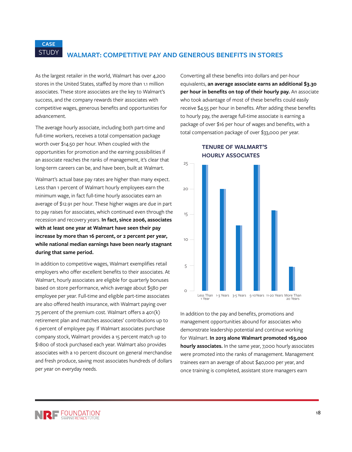## STUDY **WALMART: COMPETITIVE PAY AND GENEROUS BENEFITS IN STORES**

As the largest retailer in the world, Walmart has over 4,200 stores in the United States, staffed by more than 1.1 million associates. These store associates are the key to Walmart's success, and the company rewards their associates with competitive wages, generous benefits and opportunities for advancement.

**CASE**

The average hourly associate, including both part-time and full-time workers, receives a total compensation package worth over \$14.50 per hour. When coupled with the opportunities for promotion and the earning possibilities if an associate reaches the ranks of management, it's clear that long-term careers can be, and have been, built at Walmart.

Walmart's actual base pay rates are higher than many expect. Less than 1 percent of Walmart hourly employees earn the minimum wage, in fact full-time hourly associates earn an average of \$12.91 per hour. These higher wages are due in part to pay raises for associates, which continued even through the recession and recovery years. **In fact, since 2006, associates with at least one year at Walmart have seen their pay increase by more than 16 percent, or 2 percent per year, while national median earnings have been nearly stagnant during that same period.**

In addition to competitive wages, Walmart exemplifies retail employers who offer excellent benefits to their associates. At Walmart, hourly associates are eligible for quarterly bonuses based on store performance, which average about \$580 per employee per year. Full-time and eligible part-time associates are also offered health insurance, with Walmart paying over 75 percent of the premium cost. Walmart offers a 401(k) retirement plan and matches associates' contributions up to 6 percent of employee pay. If Walmart associates purchase company stock, Walmart provides a 15 percent match up to \$1800 of stock purchased each year. Walmart also provides associates with a 10 percent discount on general merchandise and fresh produce, saving most associates hundreds of dollars per year on everyday needs.

Converting all these benefits into dollars and per-hour equivalents, **an average associate earns an additional \$3.30 per hour in benefits on top of their hourly pay.** An associate who took advantage of most of these benefits could easily receive \$4.55 per hour in benefits. After adding these benefits to hourly pay, the average full-time associate is earning a package of over \$16 per hour of wages and benefits, with a total compensation package of over \$33,000 per year.



#### **TENURE OF WALMART'S HOURLY ASSOCIATES**

In addition to the pay and benefits, promotions and management opportunities abound for associates who demonstrate leadership potential and continue working for Walmart. **In 2013 alone Walmart promoted 163,000 hourly associates.** In the same year, 7,000 hourly associates were promoted into the ranks of management. Management trainees earn an average of about \$40,000 per year, and once training is completed, assistant store managers earn

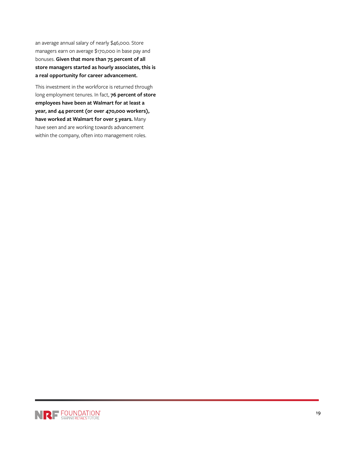an average annual salary of nearly \$46,000. Store managers earn on average \$170,000 in base pay and bonuses. **Given that more than 75 percent of all store managers started as hourly associates, this is a real opportunity for career advancement.**

This investment in the workforce is returned through long employment tenures. In fact, **76 percent of store employees have been at Walmart for at least a year, and 44 percent (or over 470,000 workers), have worked at Walmart for over 5 years.** Many have seen and are working towards advancement within the company, often into management roles.

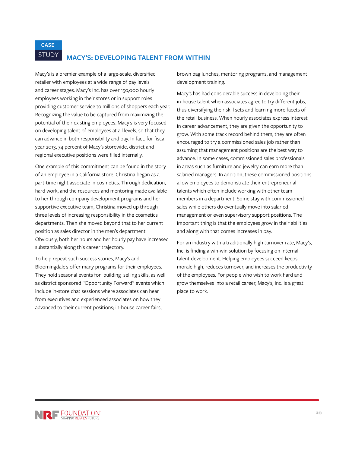**CASE**

## STUDY **MACY'S: DEVELOPING TALENT FROM WITHIN**

Macy's is a premier example of a large-scale, diversified retailer with employees at a wide range of pay levels and career stages. Macy's Inc. has over 150,000 hourly employees working in their stores or in support roles providing customer service to millions of shoppers each year. Recognizing the value to be captured from maximizing the potential of their existing employees, Macy's is very focused on developing talent of employees at all levels, so that they can advance in both responsibility and pay. In fact, for fiscal year 2013, 74 percent of Macy's storewide, district and regional executive positions were filled internally.

One example of this commitment can be found in the story of an employee in a California store. Christina began as a part-time night associate in cosmetics. Through dedication, hard work, and the resources and mentoring made available to her through company development programs and her supportive executive team, Christina moved up through three levels of increasing responsibility in the cosmetics departments. Then she moved beyond that to her current position as sales director in the men's department. Obviously, both her hours and her hourly pay have increased substantially along this career trajectory.

To help repeat such success stories, Macy's and Bloomingdale's offer many programs for their employees. They hold seasonal events for building selling skills, as well as district sponsored "Opportunity Forward" events which include in-store chat sessions where associates can hear from executives and experienced associates on how they advanced to their current positions; in-house career fairs,

brown bag lunches, mentoring programs, and management development training.

Macy's has had considerable success in developing their in-house talent when associates agree to try different jobs, thus diversifying their skill sets and learning more facets of the retail business. When hourly associates express interest in career advancement, they are given the opportunity to grow. With some track record behind them, they are often encouraged to try a commissioned sales job rather than assuming that management positions are the best way to advance. In some cases, commissioned sales professionals in areas such as furniture and jewelry can earn more than salaried managers. In addition, these commissioned positions allow employees to demonstrate their entrepreneurial talents which often include working with other team members in a department. Some stay with commissioned sales while others do eventually move into salaried management or even supervisory support positions. The important thing is that the employees grow in their abilities and along with that comes increases in pay.

For an industry with a traditionally high turnover rate, Macy's, Inc. is finding a win-win solution by focusing on internal talent development. Helping employees succeed keeps morale high, reduces turnover, and increases the productivity of the employees. For people who wish to work hard and grow themselves into a retail career, Macy's, Inc. is a great place to work.